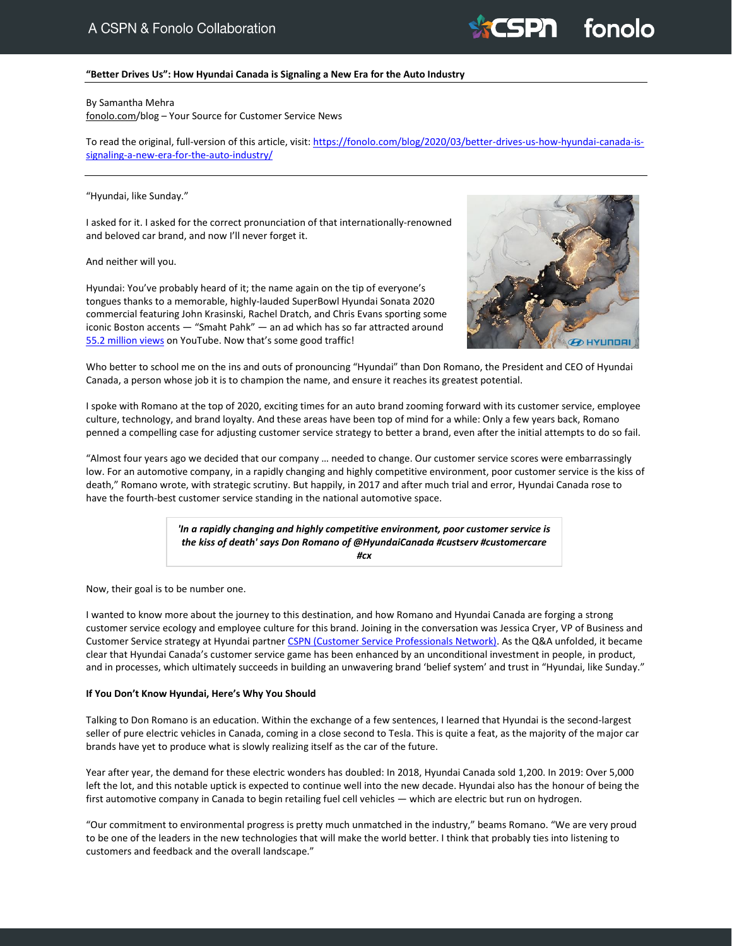# **SPN** fonolo

# **"Better Drives Us": How Hyundai Canada is Signaling a New Era for the Auto Industry**

#### By Samantha Mehra

[fonolo.com/](https://www.fonolo.com/)blog – Your Source for Customer Service News

To read the original, full-version of this article, visit[: https://fonolo.com/blog/2020/03/better-drives-us-how-hyundai-canada-is](https://fonolo.com/blog/2020/03/better-drives-us-how-hyundai-canada-is-signaling-a-new-era-for-the-auto-industry/)[signaling-a-new-era-for-the-auto-industry/](https://fonolo.com/blog/2020/03/better-drives-us-how-hyundai-canada-is-signaling-a-new-era-for-the-auto-industry/)

## "Hyundai, like Sunday."

I asked for it. I asked for the correct pronunciation of that internationally-renowned and beloved car brand, and now I'll never forget it.

# And neither will you.

Hyundai: You've probably heard of it; the name again on the tip of everyone's tongues thanks to a memorable, highly-lauded SuperBowl Hyundai Sonata 2020 commercial featuring John Krasinski, Rachel Dratch, and Chris Evans sporting some iconic Boston accents — "Smaht Pahk" — an ad which has so far attracted around [55.2 million views](https://www.prnewswire.com/news-releases/big-wins-for-hyundais-big-game-spot-smaht-pahk-301001065.html) on YouTube. Now that's some good traffic!



Who better to school me on the ins and outs of pronouncing "Hyundai" than Don Romano, the President and CEO of Hyundai Canada, a person whose job it is to champion the name, and ensure it reaches its greatest potential.

I spoke with Romano at the top of 2020, exciting times for an auto brand zooming forward with its customer service, employee culture, technology, and brand loyalty. And these areas have been top of mind for a while: Only a few years back, Romano penned a compelling case for adjusting customer service strategy to better a brand, even after the initial attempts to do so fail.

"Almost four years ago we decided that our company … needed to change. Our customer service scores were embarrassingly low. For an automotive company, in a rapidly changing and highly competitive environment, poor customer service is the kiss of death," Romano wrote, with strategic scrutiny. But happily, in 2017 and after much trial and error, Hyundai Canada rose to have the fourth-best customer service standing in the national automotive space.

> *'In a rapidly changing and highly competitive environment, poor customer service is the kiss of death' says Don Romano of @HyundaiCanada #custserv #customercare #cx*

Now, their goal is to be number one.

I wanted to know more about the journey to this destination, and how Romano and Hyundai Canada are forging a strong customer service ecology and employee culture for this brand. Joining in the conversation was Jessica Cryer, VP of Business and Customer Service strategy at Hyundai partner [CSPN \(Customer Service Professionals Network\).](https://mycspn.com/) As the Q&A unfolded, it became clear that Hyundai Canada's customer service game has been enhanced by an unconditional investment in people, in product, and in processes, which ultimately succeeds in building an unwavering brand 'belief system' and trust in "Hyundai, like Sunday."

# **If You Don't Know Hyundai, Here's Why You Should**

Talking to Don Romano is an education. Within the exchange of a few sentences, I learned that Hyundai is the second-largest seller of pure electric vehicles in Canada, coming in a close second to Tesla. This is quite a feat, as the majority of the major car brands have yet to produce what is slowly realizing itself as the car of the future.

Year after year, the demand for these electric wonders has doubled: In 2018, Hyundai Canada sold 1,200. In 2019: Over 5,000 left the lot, and this notable uptick is expected to continue well into the new decade. Hyundai also has the honour of being the first automotive company in Canada to begin retailing fuel cell vehicles — which are electric but run on hydrogen.

"Our commitment to environmental progress is pretty much unmatched in the industry," beams Romano. "We are very proud to be one of the leaders in the new technologies that will make the world better. I think that probably ties into listening to customers and feedback and the overall landscape."